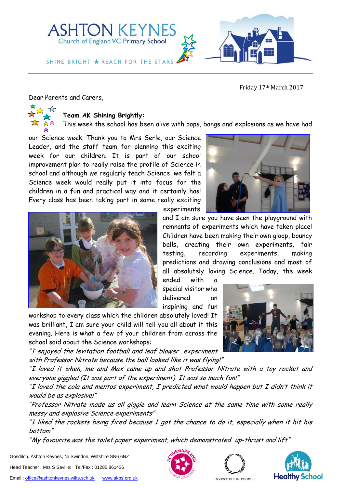

Friday 17th March 2017

Dear Parents and Carers,

## **Team AK Shining Brightly:**

This week the school has been alive with pops, bangs and explosions as we have had

experiments

our Science week. Thank you to Mrs Serle, our Science Leader, and the staff team for planning this exciting week for our children. It is part of our school improvement plan to really raise the profile of Science in school and although we regularly teach Science, we felt a Science week would really put it into focus for the children in a fun and practical way and it certainly has! Every class has been taking part in some really exciting



remnants of experiments which have taken place! Children have been making their own gloop, bouncy balls, creating their own experiments, fair testing, recording experiments, making predictions and drawing conclusions and most of all absolutely loving Science. Today, the week ended with a special visitor who

and I am sure you have seen the playground with

delivered an inspiring and fun workshop to every class which the children absolutely loved! It was brilliant, I am sure your child will tell you all about it this evening. Here is what a few of your children from across the school said about the Science workshops:

"I enjoyed the levitation football and leaf blower experiment with Professor Nitrate because the ball looked like it was flying!"

"I loved it when, me and Max came up and shot Professor Nitrate with a toy rocket and everyone giggled (It was part of the experiment). It was so much fun!"

"I loved the cola and mentos experiment, I predicted what would happen but I didn't think it would be as explosive!"

"Professor Nitrate made us all giggle and learn Science at the same time with some really messy and explosive Science experiments"

"I liked the rockets being fired because  $I$  got the chance to do it, especially when it hit his bottom"

"My favourite was the toilet paper experiment, which demonstrated up-thrust and lift"

Gosditch, Ashton Keynes, Nr Swindon, Wiltshire SN6 6NZ

Head Teacher : Mrs S Saville: Tel/Fax : 01285 861436







INVESTORS IN PEOPLE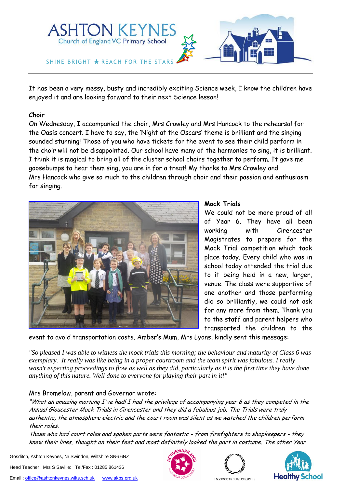

It has been a very messy, busty and incredibly exciting Science week, I know the children have enjoyed it and are looking forward to their next Science lesson!

#### **Choir**

On Wednesday, I accompanied the choir, Mrs Crowley and Mrs Hancock to the rehearsal for the Oasis concert. I have to say, the 'Night at the Oscars' theme is brilliant and the singing sounded stunning! Those of you who have tickets for the event to see their child perform in the choir will not be disappointed. Our school have many of the harmonies to sing, it is brilliant. I think it is magical to bring all of the cluster school choirs together to perform. It gave me goosebumps to hear them sing, you are in for a treat! My thanks to Mrs Crowley and Mrs Hancock who give so much to the children through choir and their passion and enthusiasm for singing.



### **Mock Trials**

We could not be more proud of all of Year 6. They have all been working with Cirencester Magistrates to prepare for the Mock Trial competition which took place today. Every child who was in school today attended the trial due to it being held in a new, larger, venue. The class were supportive of one another and those performing did so brilliantly, we could not ask for any more from them. Thank you to the staff and parent helpers who transported the children to the

event to avoid transportation costs. Amber's Mum, Mrs Lyons, kindly sent this message:

*"So pleased I was able to witness the mock trials this morning; the behaviour and maturity of Class 6 was exemplary. It really was like being in a proper courtroom and the team spirit was fabulous. I really wasn't expecting proceedings to flow as well as they did, particularly as it is the first time they have done anything of this nature. Well done to everyone for playing their part in it!"*

# Mrs Bromelow, parent and Governor wrote:

"What an amazing morning I've had! I had the privilege of accompanying year 6 as they competed in the Annual Gloucester Mock Trials in Cirencester and they did a fabulous job. The Trials were truly authentic, the atmosphere electric and the court room was silent as we watched the children perform their roles.

Those who had court roles and spoken parts were fantastic - from firefighters to shopkeepers - they knew their lines, thought on their feet and most definitely looked the part in costume. The other Year

Gosditch, Ashton Keynes, Nr Swindon, Wiltshire SN6 6NZ

Head Teacher : Mrs S Saville: Tel/Fax : 01285 861436





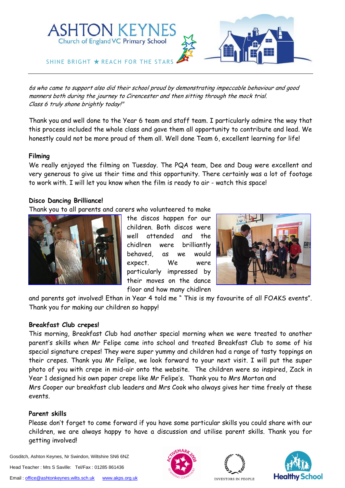

6s who came to support also did their school proud by demonstrating impeccable behaviour and good manners both during the journey to Cirencester and then sitting through the mock trial. Class 6 truly shone brightly today!"

Thank you and well done to the Year 6 team and staff team. I particularly admire the way that this process included the whole class and gave them all opportunity to contribute and lead. We honestly could not be more proud of them all. Well done Team 6, excellent learning for life!

### **Filming**

We really enjoyed the filming on Tuesday. The PQA team, Dee and Doug were excellent and very generous to give us their time and this opportunity. There certainly was a lot of footage to work with. I will let you know when the film is ready to air - watch this space!

#### **Disco Dancing Brilliance!**

Thank you to all parents and carers who volunteered to make



the discos happen for our children. Both discos were well attended and the chidlren were brilliantly behaved, as we would expect. We were particularly impressed by their moves on the dance floor and how many chidlren



and parents got involved! Ethan in Year 4 told me " This is my favourite of all FOAKS events". Thank you for making our children so happy!

## **Breakfast Club crepes!**

This morning, Breakfast Club had another special morning when we were treated to another parent's skills when Mr Felipe came into school and treated Breakfast Club to some of his special signature crepes! They were super yummy and children had a range of tasty toppings on their crepes. Thank you Mr Felipe, we look forward to your next visit. I will put the super photo of you with crepe in mid-air onto the website. The children were so inspired, Zack in Year 1 designed his own paper crepe like Mr Felipe's. Thank you to Mrs Morton and Mrs Cooper our breakfast club leaders and Mrs Cook who always gives her time freely at these events.

#### **Parent skills**

Please don't forget to come forward if you have some particular skills you could share with our children, we are always happy to have a discussion and utilise parent skills. Thank you for getting involved!

Gosditch, Ashton Keynes, Nr Swindon, Wiltshire SN6 6NZ Head Teacher : Mrs S Saville: Tel/Fax : 01285 861436





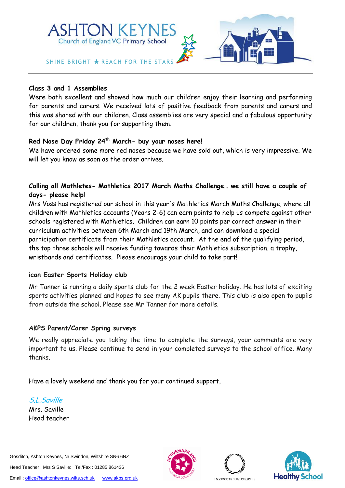

#### **Class 3 and 1 Assemblies**

Were both excellent and showed how much our children enjoy their learning and performing for parents and carers. We received lots of positive feedback from parents and carers and this was shared with our children. Class assemblies are very special and a fabulous opportunity for our children, thank you for supporting them.

## **Red Nose Day Friday 24th March- buy your noses here!**

We have ordered some more red noses because we have sold out, which is very impressive. We will let you know as soon as the order arrives.

# **Calling all Mathletes- Mathletics 2017 March Maths Challenge… we still have a couple of days- please help!**

Mrs Voss has registered our school in this year's Mathletics March Maths Challenge, where all children with Mathletics accounts (Years 2-6) can earn points to help us compete against other schools registered with Mathletics. Children can earn 10 points per correct answer in their curriculum activities between 6th March and 19th March, and can download a special participation certificate from their Mathletics account. At the end of the qualifying period, the top three schools will receive funding towards their Mathletics subscription, a trophy, wristbands and certificates. Please encourage your child to take part!

#### **ican Easter Sports Holiday club**

Mr Tanner is running a daily sports club for the 2 week Easter holiday. He has lots of exciting sports activities planned and hopes to see many AK pupils there. This club is also open to pupils from outside the school. Please see Mr Tanner for more details.

## **AKPS Parent/Carer Spring surveys**

We really appreciate you taking the time to complete the surveys, your comments are very important to us. Please continue to send in your completed surveys to the school office. Many thanks.

Have a lovely weekend and thank you for your continued support,

S.L.Saville Mrs. Saville Head teacher

Gosditch, Ashton Keynes, Nr Swindon, Wiltshire SN6 6NZ Head Teacher : Mrs S Saville: Tel/Fax : 01285 861436 Email[: office@ashtonkeynes.wilts.sch.uk](mailto:office@ashtonkeynes.wilts.sch.uk) [www.akps.org.uk](http://www.akps.org.uk/)







INVESTORS IN PEOPLE